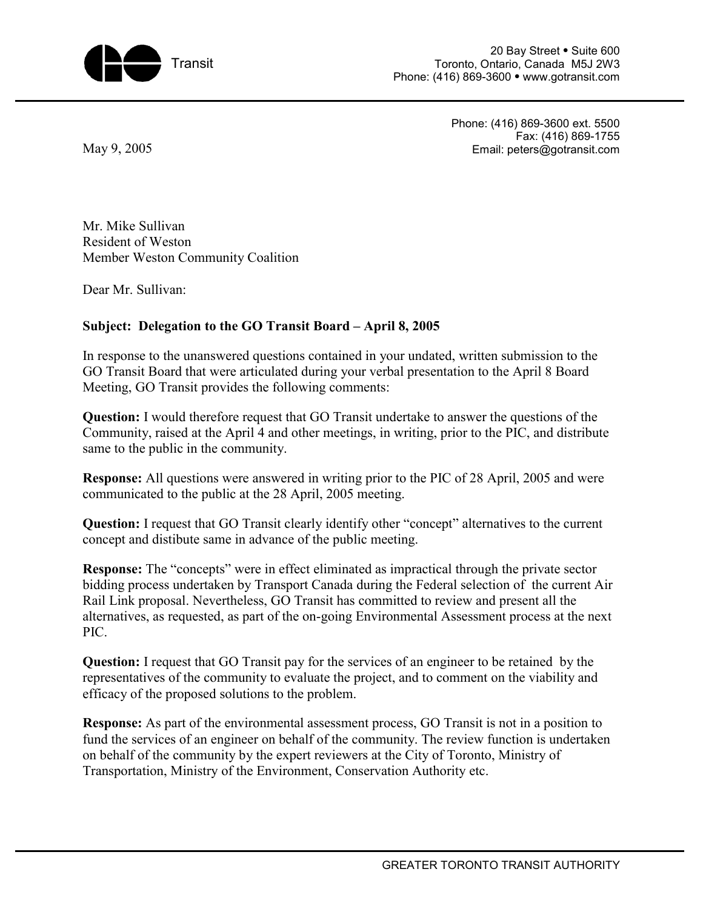

20 Bay Street • Suite 600 Toronto, Ontario, Canada M5J 2W3 Phone: (416) 869-3600 • www.gotransit.com

May 9, 2005

Phone: (416) 869-3600 ext. 5500 Fax: (416) 869-1755 Email: peters@gotransit.com

Mr. Mike Sullivan Resident of Weston Member Weston Community Coalition

Dear Mr. Sullivan:

## **Subject: Delegation to the GO Transit Board – April 8, 2005**

In response to the unanswered questions contained in your undated, written submission to the GO Transit Board that were articulated during your verbal presentation to the April 8 Board Meeting, GO Transit provides the following comments:

**Question:** I would therefore request that GO Transit undertake to answer the questions of the Community, raised at the April 4 and other meetings, in writing, prior to the PIC, and distribute same to the public in the community.

**Response:** All questions were answered in writing prior to the PIC of 28 April, 2005 and were communicated to the public at the 28 April, 2005 meeting.

**Question:** I request that GO Transit clearly identify other "concept" alternatives to the current concept and distibute same in advance of the public meeting.

**Response:** The "concepts" were in effect eliminated as impractical through the private sector bidding process undertaken by Transport Canada during the Federal selection of the current Air Rail Link proposal. Nevertheless, GO Transit has committed to review and present all the alternatives, as requested, as part of the on-going Environmental Assessment process at the next PIC.

**Question:** I request that GO Transit pay for the services of an engineer to be retained by the representatives of the community to evaluate the project, and to comment on the viability and efficacy of the proposed solutions to the problem.

**Response:** As part of the environmental assessment process, GO Transit is not in a position to fund the services of an engineer on behalf of the community. The review function is undertaken on behalf of the community by the expert reviewers at the City of Toronto, Ministry of Transportation, Ministry of the Environment, Conservation Authority etc.